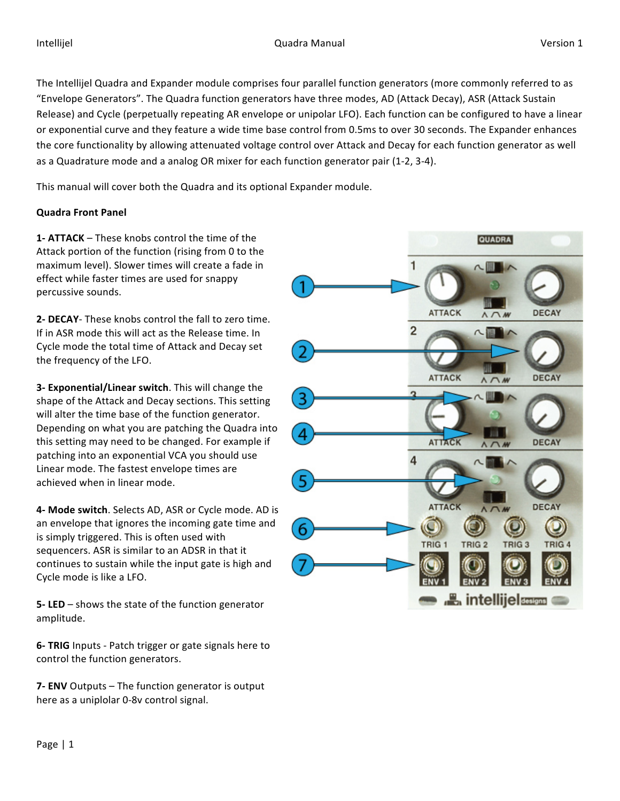The Intellijel Quadra and Expander module comprises four parallel function generators (more commonly referred to as "Envelope Generators". The Quadra function generators have three modes, AD (Attack Decay), ASR (Attack Sustain Release) and Cycle (perpetually repeating AR envelope or unipolar LFO). Each function can be configured to have a linear or exponential curve and they feature a wide time base control from 0.5ms to over 30 seconds. The Expander enhances the core functionality by allowing attenuated voltage control over Attack and Decay for each function generator as well as a Quadrature mode and a analog OR mixer for each function generator pair (1-2, 3-4).

This manual will cover both the Quadra and its optional Expander module.

### **Quadra Front Panel**

**1- ATTACK** – These knobs control the time of the Attack portion of the function (rising from 0 to the maximum level). Slower times will create a fade in effect while faster times are used for snappy percussive sounds.

**2- DECAY**- These knobs control the fall to zero time. If in ASR mode this will act as the Release time. In Cycle mode the total time of Attack and Decay set the frequency of the LFO.

**3- Exponential/Linear switch**. This will change the shape of the Attack and Decay sections. This setting will alter the time base of the function generator. Depending on what you are patching the Quadra into this setting may need to be changed. For example if patching into an exponential VCA you should use Linear mode. The fastest envelope times are achieved when in linear mode.

**4- Mode switch**. Selects AD, ASR or Cycle mode. AD is an envelope that ignores the incoming gate time and is simply triggered. This is often used with sequencers. ASR is similar to an ADSR in that it continues to sustain while the input gate is high and Cycle mode is like a LFO.

**5-LED** – shows the state of the function generator amplitude.

**6- TRIG** Inputs - Patch trigger or gate signals here to control the function generators.

**7- ENV** Outputs – The function generator is output here as a uniplolar 0-8v control signal.

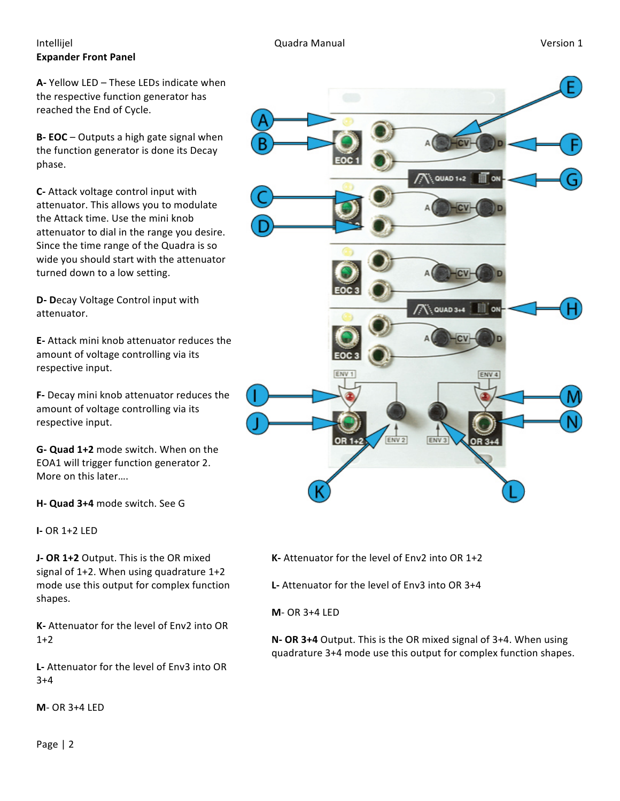### Intellijel **South Communist Communist Communist Communist Communist Communist Communist Communist Communist Communist Communist Communist Communist Communist Communist Communist Communist Communist Communist Communist Comm Expander Front Panel**

**A-** Yellow LED – These LEDs indicate when the respective function generator has reached the End of Cycle.

**B- EOC** – Outputs a high gate signal when the function generator is done its Decay phase. 

**C-** Attack voltage control input with attenuator. This allows you to modulate the Attack time. Use the mini knob attenuator to dial in the range you desire. Since the time range of the Quadra is so wide you should start with the attenuator turned down to a low setting.

**D-** Decay Voltage Control input with attenuator.

**E-** Attack mini knob attenuator reduces the amount of voltage controlling via its respective input.

**F-** Decay mini knob attenuator reduces the amount of voltage controlling via its respective input.

**G- Quad 1+2** mode switch. When on the EOA1 will trigger function generator 2. More on this later....

**H- Quad 3+4** mode switch. See G

**I-** OR 1+2 LED

**J- OR 1+2** Output. This is the OR mixed signal of  $1+2$ . When using quadrature  $1+2$ mode use this output for complex function shapes.

**K-** Attenuator for the level of Fny2 into OR  $1+2$ 

**L**- Attenuator for the level of Env3 into OR 3+4

**M**- OR 3+4 LED



**K-** Attenuator for the level of Env2 into OR 1+2

**L**- Attenuator for the level of Env3 into OR 3+4

**M**- OR 3+4 LED

**N- OR 3+4** Output. This is the OR mixed signal of 3+4. When using quadrature 3+4 mode use this output for complex function shapes.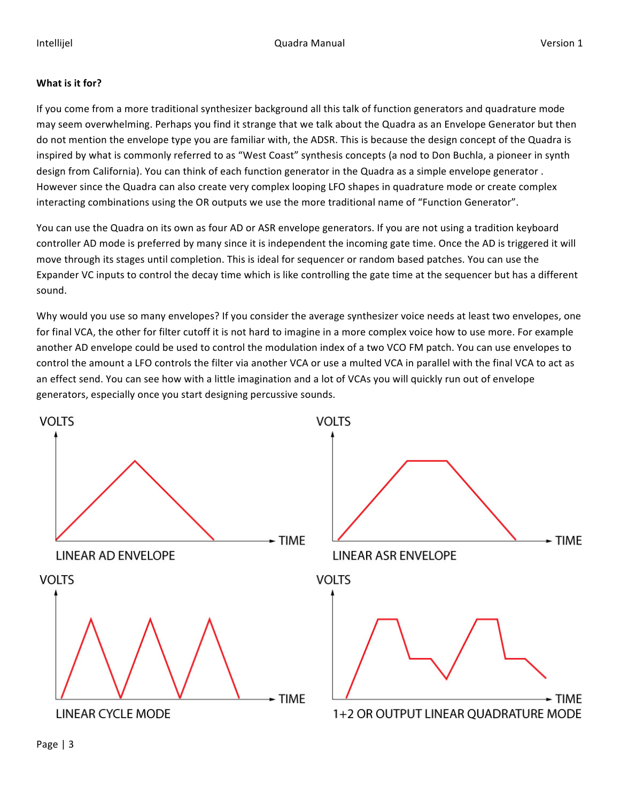### **What is it for?**

If you come from a more traditional synthesizer background all this talk of function generators and quadrature mode may seem overwhelming. Perhaps you find it strange that we talk about the Quadra as an Envelope Generator but then do not mention the envelope type you are familiar with, the ADSR. This is because the design concept of the Quadra is inspired by what is commonly referred to as "West Coast" synthesis concepts (a nod to Don Buchla, a pioneer in synth design from California). You can think of each function generator in the Quadra as a simple envelope generator. However since the Quadra can also create very complex looping LFO shapes in quadrature mode or create complex interacting combinations using the OR outputs we use the more traditional name of "Function Generator".

You can use the Quadra on its own as four AD or ASR envelope generators. If you are not using a tradition keyboard controller AD mode is preferred by many since it is independent the incoming gate time. Once the AD is triggered it will move through its stages until completion. This is ideal for sequencer or random based patches. You can use the Expander VC inputs to control the decay time which is like controlling the gate time at the sequencer but has a different sound.

Why would you use so many envelopes? If you consider the average synthesizer voice needs at least two envelopes, one for final VCA, the other for filter cutoff it is not hard to imagine in a more complex voice how to use more. For example another AD envelope could be used to control the modulation index of a two VCO FM patch. You can use envelopes to control the amount a LFO controls the filter via another VCA or use a multed VCA in parallel with the final VCA to act as an effect send. You can see how with a little imagination and a lot of VCAs you will quickly run out of envelope generators, especially once you start designing percussive sounds.

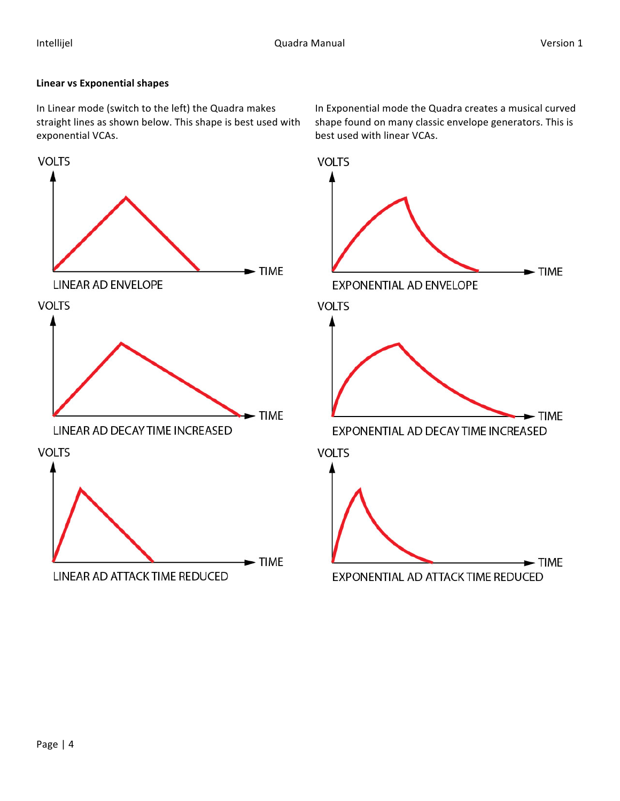### **Linear vs Exponential shapes**

In Linear mode (switch to the left) the Quadra makes straight lines as shown below. This shape is best used with exponential VCAs.



In Exponential mode the Quadra creates a musical curved shape found on many classic envelope generators. This is best used with linear VCAs.

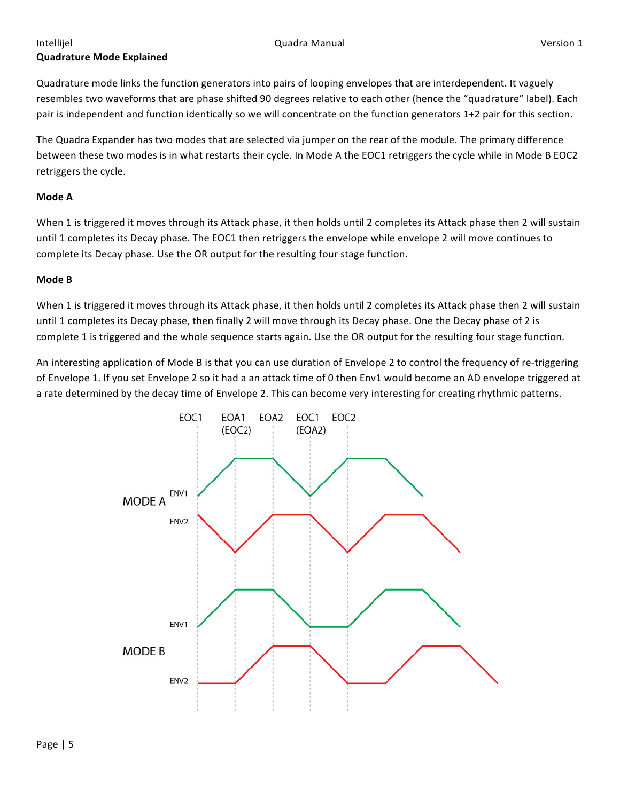# **Quadrature Mode Explained**

Quadrature mode links the function generators into pairs of looping envelopes that are interdependent. It vaguely resembles two waveforms that are phase shifted 90 degrees relative to each other (hence the "quadrature" label). Each pair is independent and function identically so we will concentrate on the function generators 1+2 pair for this section.

The Quadra Expander has two modes that are selected via jumper on the rear of the module. The primary difference between these two modes is in what restarts their cycle. In Mode A the EOC1 retriggers the cycle while in Mode B EOC2 retriggers the cycle.

#### **Mode A**

When 1 is triggered it moves through its Attack phase, it then holds until 2 completes its Attack phase then 2 will sustain until 1 completes its Decay phase. The EOC1 then retriggers the envelope while envelope 2 will move continues to complete its Decay phase. Use the OR output for the resulting four stage function.

#### **Mode B**

When 1 is triggered it moves through its Attack phase, it then holds until 2 completes its Attack phase then 2 will sustain until 1 completes its Decay phase, then finally 2 will move through its Decay phase. One the Decay phase of 2 is complete 1 is triggered and the whole sequence starts again. Use the OR output for the resulting four stage function.

An interesting application of Mode B is that you can use duration of Envelope 2 to control the frequency of re-triggering of Envelope 1. If you set Envelope 2 so it had a an attack time of 0 then Env1 would become an AD envelope triggered at a rate determined by the decay time of Envelope 2. This can become very interesting for creating rhythmic patterns.

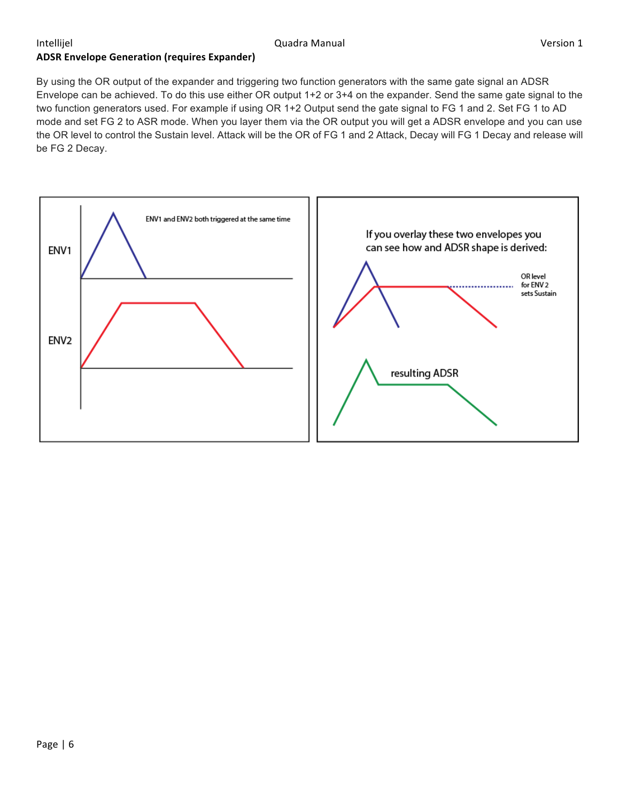# **ADSR Envelope Generation (requires Expander)**

By using the OR output of the expander and triggering two function generators with the same gate signal an ADSR Envelope can be achieved. To do this use either OR output 1+2 or 3+4 on the expander. Send the same gate signal to the two function generators used. For example if using OR 1+2 Output send the gate signal to FG 1 and 2. Set FG 1 to AD mode and set FG 2 to ASR mode. When you layer them via the OR output you will get a ADSR envelope and you can use the OR level to control the Sustain level. Attack will be the OR of FG 1 and 2 Attack, Decay will FG 1 Decay and release will be FG 2 Decay.

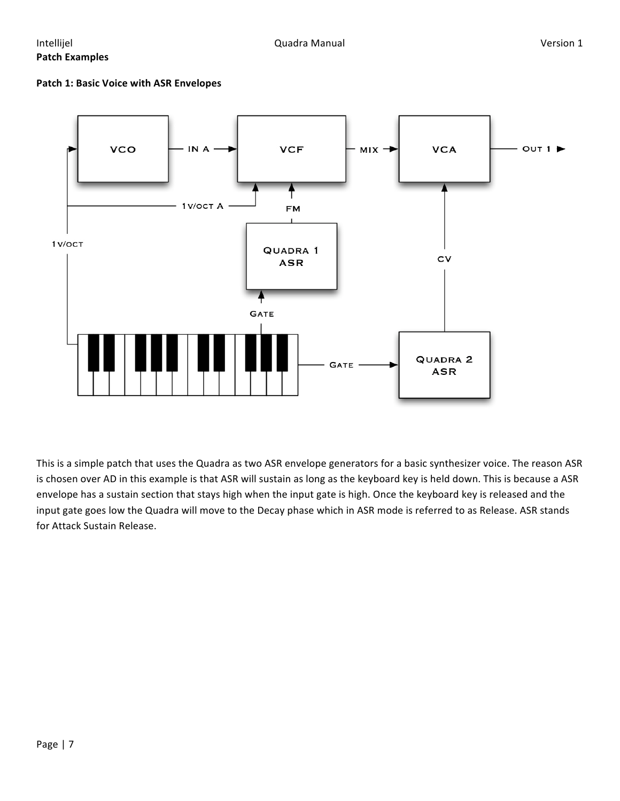### Intellijel **South Communist Communist Communist Communist Communist Communist Communist Communist Communist Communist Communist Communist Communist Communist Communist Communist Communist Communist Communist Communist Comm Patch Examples**

#### **Patch 1: Basic Voice with ASR Envelopes**



This is a simple patch that uses the Quadra as two ASR envelope generators for a basic synthesizer voice. The reason ASR is chosen over AD in this example is that ASR will sustain as long as the keyboard key is held down. This is because a ASR envelope has a sustain section that stays high when the input gate is high. Once the keyboard key is released and the input gate goes low the Quadra will move to the Decay phase which in ASR mode is referred to as Release. ASR stands for Attack Sustain Release.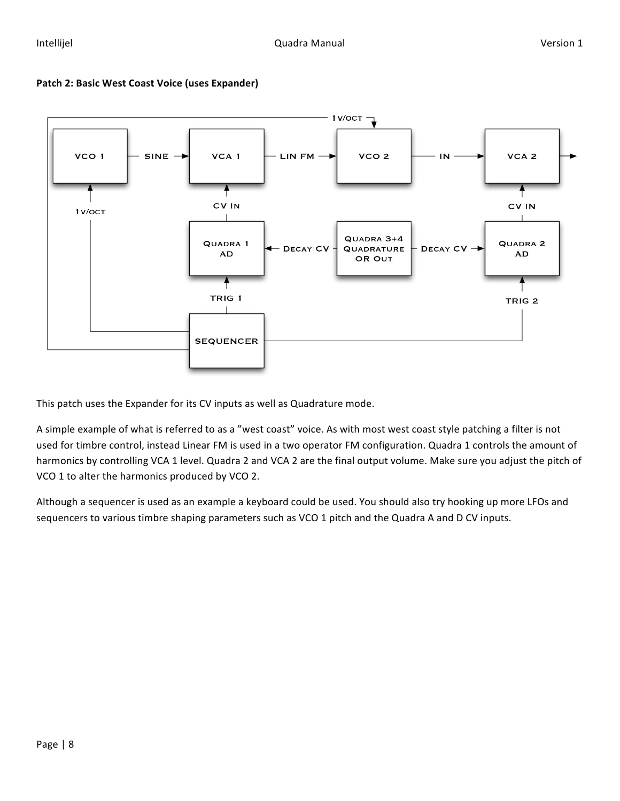

#### Patch 2: Basic West Coast Voice (uses Expander)

This patch uses the Expander for its CV inputs as well as Quadrature mode.

A simple example of what is referred to as a "west coast" voice. As with most west coast style patching a filter is not used for timbre control, instead Linear FM is used in a two operator FM configuration. Quadra 1 controls the amount of harmonics by controlling VCA 1 level. Quadra 2 and VCA 2 are the final output volume. Make sure you adjust the pitch of VCO 1 to alter the harmonics produced by VCO 2.

Although a sequencer is used as an example a keyboard could be used. You should also try hooking up more LFOs and sequencers to various timbre shaping parameters such as VCO 1 pitch and the Quadra A and D CV inputs.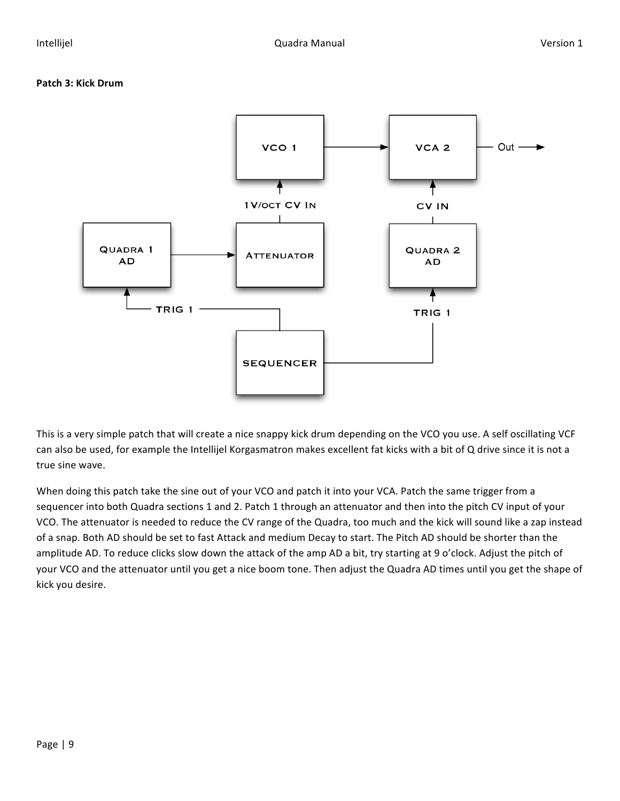#### **Patch 3: Kick Drum**



This is a very simple patch that will create a nice snappy kick drum depending on the VCO you use. A self oscillating VCF can also be used, for example the Intellijel Korgasmatron makes excellent fat kicks with a bit of Q drive since it is not a true sine wave.

When doing this patch take the sine out of your VCO and patch it into your VCA. Patch the same trigger from a sequencer into both Quadra sections 1 and 2. Patch 1 through an attenuator and then into the pitch CV input of your VCO. The attenuator is needed to reduce the CV range of the Quadra, too much and the kick will sound like a zap instead of a snap. Both AD should be set to fast Attack and medium Decay to start. The Pitch AD should be shorter than the amplitude AD. To reduce clicks slow down the attack of the amp AD a bit, try starting at 9 o'clock. Adjust the pitch of your VCO and the attenuator until you get a nice boom tone. Then adjust the Quadra AD times until you get the shape of kick you desire.